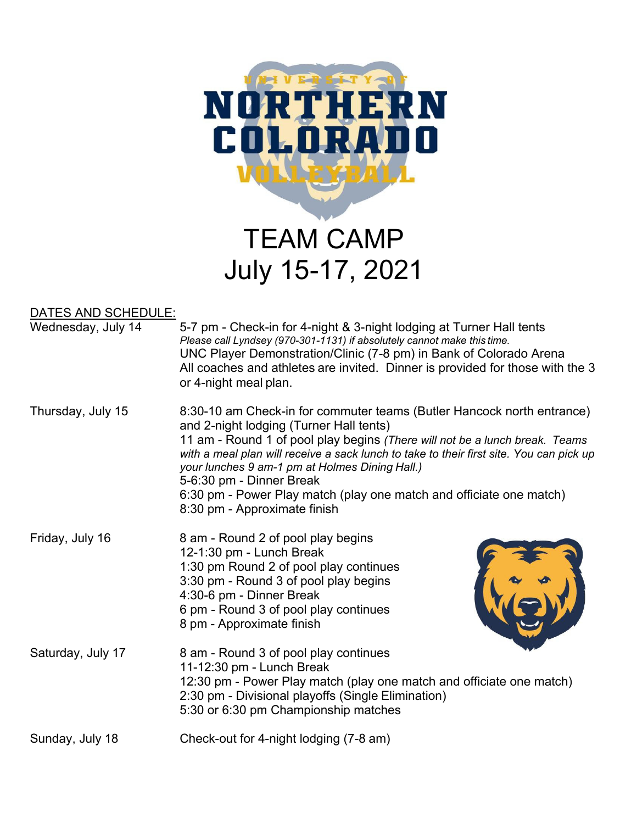

## DATES AND SCHEDULE:

| Wednesday, July 14 | 5-7 pm - Check-in for 4-night & 3-night lodging at Turner Hall tents<br>Please call Lyndsey (970-301-1131) if absolutely cannot make this time.<br>UNC Player Demonstration/Clinic (7-8 pm) in Bank of Colorado Arena<br>All coaches and athletes are invited. Dinner is provided for those with the 3<br>or 4-night meal plan.                                                                                                                                                  |
|--------------------|----------------------------------------------------------------------------------------------------------------------------------------------------------------------------------------------------------------------------------------------------------------------------------------------------------------------------------------------------------------------------------------------------------------------------------------------------------------------------------|
| Thursday, July 15  | 8:30-10 am Check-in for commuter teams (Butler Hancock north entrance)<br>and 2-night lodging (Turner Hall tents)<br>11 am - Round 1 of pool play begins (There will not be a lunch break. Teams<br>with a meal plan will receive a sack lunch to take to their first site. You can pick up<br>your lunches 9 am-1 pm at Holmes Dining Hall.)<br>5-6:30 pm - Dinner Break<br>6:30 pm - Power Play match (play one match and officiate one match)<br>8:30 pm - Approximate finish |
| Friday, July 16    | 8 am - Round 2 of pool play begins<br>12-1:30 pm - Lunch Break<br>1:30 pm Round 2 of pool play continues<br>3:30 pm - Round 3 of pool play begins<br>4:30-6 pm - Dinner Break<br>6 pm - Round 3 of pool play continues<br>8 pm - Approximate finish                                                                                                                                                                                                                              |
| Saturday, July 17  | 8 am - Round 3 of pool play continues<br>11-12:30 pm - Lunch Break<br>12:30 pm - Power Play match (play one match and officiate one match)<br>2:30 pm - Divisional playoffs (Single Elimination)<br>5:30 or 6:30 pm Championship matches                                                                                                                                                                                                                                         |
| Sunday, July 18    | Check-out for 4-night lodging (7-8 am)                                                                                                                                                                                                                                                                                                                                                                                                                                           |